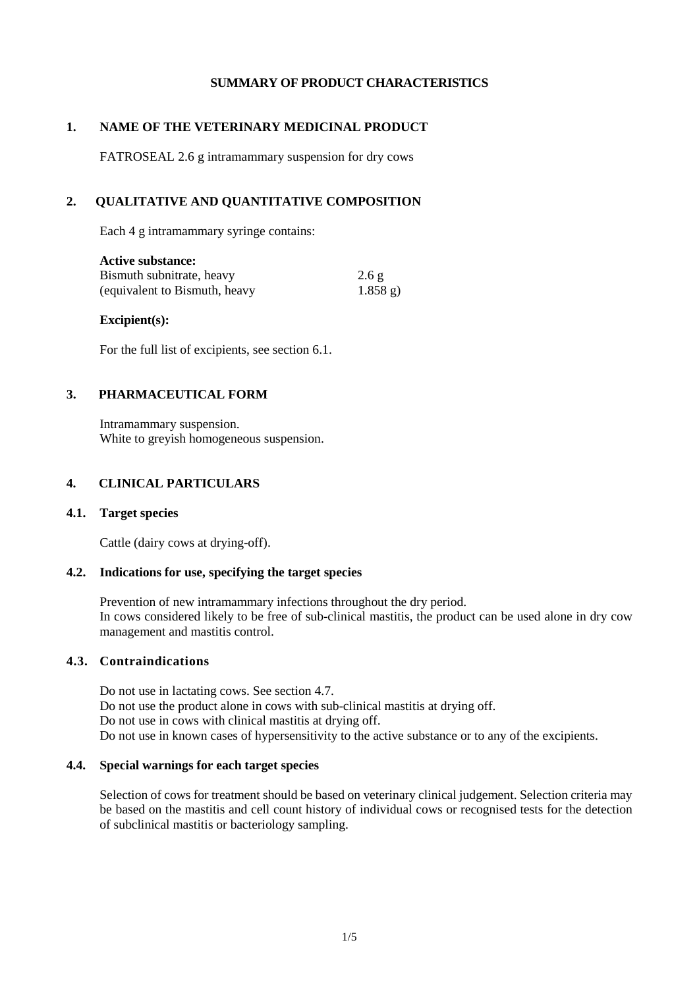## **SUMMARY OF PRODUCT CHARACTERISTICS**

## **1. NAME OF THE VETERINARY MEDICINAL PRODUCT**

FATROSEAL 2.6 g intramammary suspension for dry cows

## **2. QUALITATIVE AND QUANTITATIVE COMPOSITION**

Each 4 g intramammary syringe contains:

| <b>Active substance:</b>      |                 |
|-------------------------------|-----------------|
| Bismuth subnitrate, heavy     | $2.6\ \text{g}$ |
| (equivalent to Bismuth, heavy | $1.858$ g)      |

#### **Excipient(s):**

For the full list of excipients, see section 6.1.

## **3. PHARMACEUTICAL FORM**

Intramammary suspension. White to greyish homogeneous suspension.

## **4. CLINICAL PARTICULARS**

#### **4.1. Target species**

Cattle (dairy cows at drying-off).

### **4.2. Indications for use, specifying the target species**

Prevention of new intramammary infections throughout the dry period. In cows considered likely to be free of sub-clinical mastitis, the product can be used alone in dry cow management and mastitis control.

### **4.3. Contraindications**

Do not use in lactating cows. See section 4.7. Do not use the product alone in cows with sub-clinical mastitis at drying off. Do not use in cows with clinical mastitis at drying off. Do not use in known cases of hypersensitivity to the active substance or to any of the excipients.

#### **4.4. Special warnings for each target species**

Selection of cows for treatment should be based on veterinary clinical judgement. Selection criteria may be based on the mastitis and cell count history of individual cows or recognised tests for the detection of subclinical mastitis or bacteriology sampling.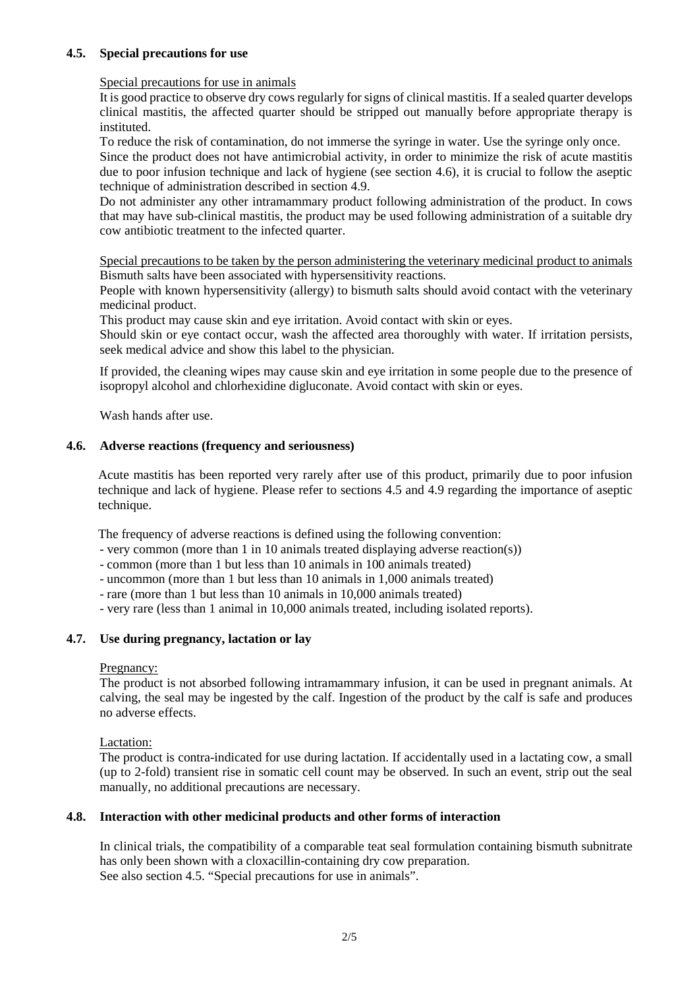## **4.5. Special precautions for use**

### Special precautions for use in animals

It is good practice to observe dry cows regularly for signs of clinical mastitis. If a sealed quarter develops clinical mastitis, the affected quarter should be stripped out manually before appropriate therapy is instituted.

To reduce the risk of contamination, do not immerse the syringe in water. Use the syringe only once.

Since the product does not have antimicrobial activity, in order to minimize the risk of acute mastitis due to poor infusion technique and lack of hygiene (see section 4.6), it is crucial to follow the aseptic technique of administration described in section 4.9.

Do not administer any other intramammary product following administration of the product. In cows that may have sub-clinical mastitis, the product may be used following administration of a suitable dry cow antibiotic treatment to the infected quarter.

Special precautions to be taken by the person administering the veterinary medicinal product to animals Bismuth salts have been associated with hypersensitivity reactions.

People with known hypersensitivity (allergy) to bismuth salts should avoid contact with the veterinary medicinal product.

This product may cause skin and eye irritation. Avoid contact with skin or eyes.

Should skin or eye contact occur, wash the affected area thoroughly with water. If irritation persists, seek medical advice and show this label to the physician.

If provided, the cleaning wipes may cause skin and eye irritation in some people due to the presence of isopropyl alcohol and chlorhexidine digluconate. Avoid contact with skin or eyes.

Wash hands after use.

## **4.6. Adverse reactions (frequency and seriousness)**

Acute mastitis has been reported very rarely after use of this product, primarily due to poor infusion technique and lack of hygiene. Please refer to sections 4.5 and 4.9 regarding the importance of aseptic technique.

The frequency of adverse reactions is defined using the following convention:

- very common (more than 1 in 10 animals treated displaying adverse reaction(s))
- common (more than 1 but less than 10 animals in 100 animals treated)
- uncommon (more than 1 but less than 10 animals in 1,000 animals treated)
- rare (more than 1 but less than 10 animals in 10,000 animals treated)
- very rare (less than 1 animal in 10,000 animals treated, including isolated reports).

### **4.7. Use during pregnancy, lactation or lay**

#### Pregnancy:

The product is not absorbed following intramammary infusion, it can be used in pregnant animals. At calving, the seal may be ingested by the calf. Ingestion of the product by the calf is safe and produces no adverse effects.

#### Lactation:

The product is contra-indicated for use during lactation. If accidentally used in a lactating cow, a small (up to 2-fold) transient rise in somatic cell count may be observed. In such an event, strip out the seal manually, no additional precautions are necessary.

### **4.8. Interaction with other medicinal products and other forms of interaction**

In clinical trials, the compatibility of a comparable teat seal formulation containing bismuth subnitrate has only been shown with a cloxacillin-containing dry cow preparation. See also section 4.5. "Special precautions for use in animals".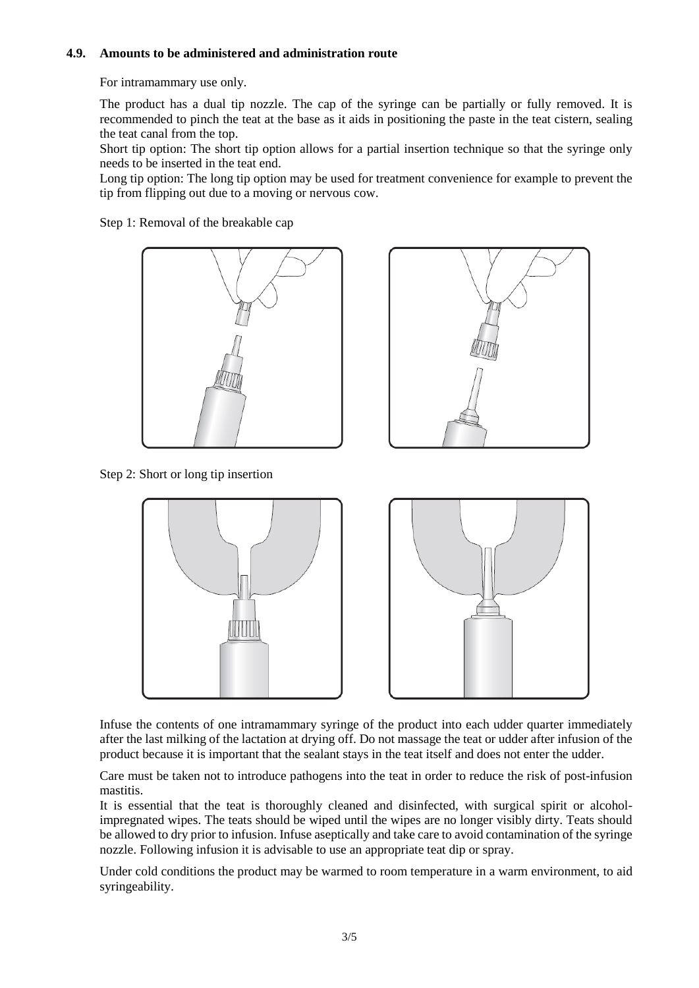## **4.9. Amounts to be administered and administration route**

For intramammary use only.

The product has a dual tip nozzle. The cap of the syringe can be partially or fully removed. It is recommended to pinch the teat at the base as it aids in positioning the paste in the teat cistern, sealing the teat canal from the top.

Short tip option: The short tip option allows for a partial insertion technique so that the syringe only needs to be inserted in the teat end.

Long tip option: The long tip option may be used for treatment convenience for example to prevent the tip from flipping out due to a moving or nervous cow.

Step 1: Removal of the breakable cap





Step 2: Short or long tip insertion



Infuse the contents of one intramammary syringe of the product into each udder quarter immediately after the last milking of the lactation at drying off. Do not massage the teat or udder after infusion of the product because it is important that the sealant stays in the teat itself and does not enter the udder.

Care must be taken not to introduce pathogens into the teat in order to reduce the risk of post-infusion mastitis.

It is essential that the teat is thoroughly cleaned and disinfected, with surgical spirit or alcoholimpregnated wipes. The teats should be wiped until the wipes are no longer visibly dirty. Teats should be allowed to dry prior to infusion. Infuse aseptically and take care to avoid contamination of the syringe nozzle. Following infusion it is advisable to use an appropriate teat dip or spray.

Under cold conditions the product may be warmed to room temperature in a warm environment, to aid syringeability.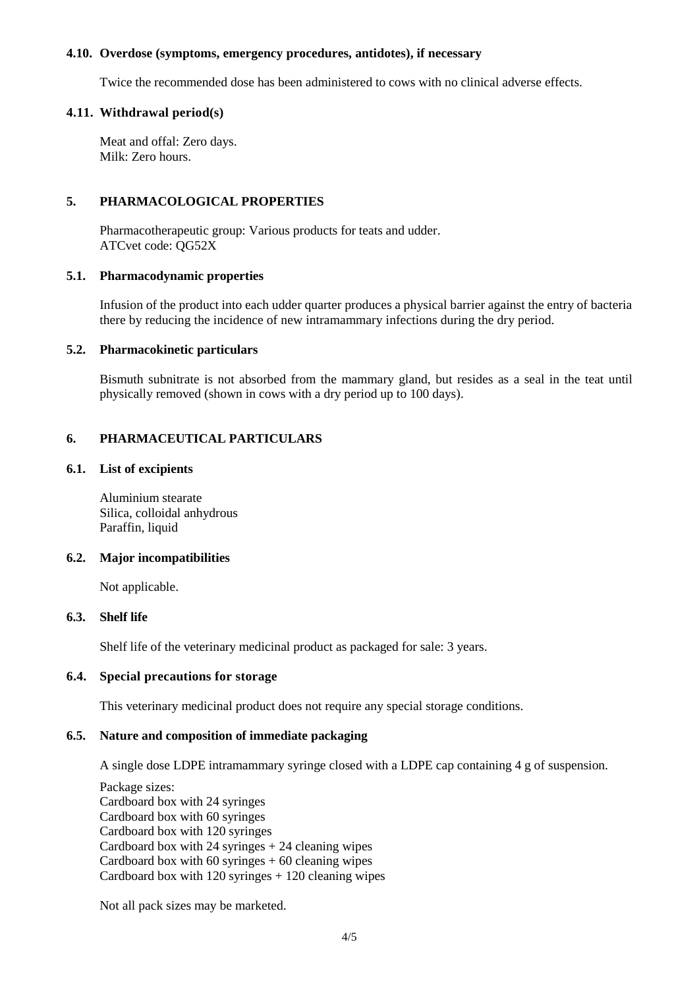#### **4.10. Overdose (symptoms, emergency procedures, antidotes), if necessary**

Twice the recommended dose has been administered to cows with no clinical adverse effects.

#### **4.11. Withdrawal period(s)**

Meat and offal: Zero days. Milk: Zero hours.

### **5. PHARMACOLOGICAL PROPERTIES**

Pharmacotherapeutic group: Various products for teats and udder. ATCvet code: QG52X

#### **5.1. Pharmacodynamic properties**

Infusion of the product into each udder quarter produces a physical barrier against the entry of bacteria there by reducing the incidence of new intramammary infections during the dry period.

#### **5.2. Pharmacokinetic particulars**

Bismuth subnitrate is not absorbed from the mammary gland, but resides as a seal in the teat until physically removed (shown in cows with a dry period up to 100 days).

## **6. PHARMACEUTICAL PARTICULARS**

## **6.1. List of excipients**

Aluminium stearate Silica, colloidal anhydrous Paraffin, liquid

#### **6.2. Major incompatibilities**

Not applicable.

### **6.3. Shelf life**

Shelf life of the veterinary medicinal product as packaged for sale: 3 years.

## **6.4. Special precautions for storage**

This veterinary medicinal product does not require any special storage conditions.

## **6.5. Nature and composition of immediate packaging**

A single dose LDPE intramammary syringe closed with a LDPE cap containing 4 g of suspension.

Package sizes: Cardboard box with 24 syringes Cardboard box with 60 syringes Cardboard box with 120 syringes Cardboard box with  $24$  syringes  $+ 24$  cleaning wipes Cardboard box with  $60$  syringes  $+ 60$  cleaning wipes Cardboard box with  $120$  syringes  $+ 120$  cleaning wipes

Not all pack sizes may be marketed.